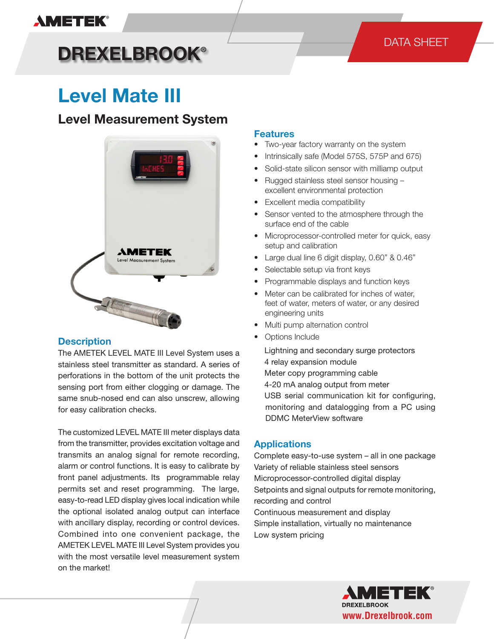## **AMETEK®**

### DATA SHEET

# **DREXELBROOK®**

# **Level Mate III**

### **Level Measurement System**



#### **Description**

The AMETEK LEVEL MATE III Level System uses a stainless steel transmitter as standard. A series of perforations in the bottom of the unit protects the sensing port from either clogging or damage. The same snub-nosed end can also unscrew, allowing for easy calibration checks.

The customized LEVEL MATE III meter displays data from the transmitter, provides excitation voltage and transmits an analog signal for remote recording, alarm or control functions. It is easy to calibrate by front panel adjustments. Its programmable relay permits set and reset programming. The large, easy-to-read LED display gives local indication while the optional isolated analog output can interface with ancillary display, recording or control devices. Combined into one convenient package, the AMETEK LEVEL MATE III Level System provides you with the most versatile level measurement system on the market!

#### **Features**

- Two-year factory warranty on the system
- Intrinsically safe (Model 575S, 575P and 675)
- Solid-state silicon sensor with milliamp output
- Rugged stainless steel sensor housing excellent environmental protection
- Excellent media compatibility
- Sensor vented to the atmosphere through the surface end of the cable
- Microprocessor-controlled meter for quick, easy setup and calibration
- Large dual line 6 digit display, 0.60" & 0.46"
- Selectable setup via front keys
- Programmable displays and function keys
- Meter can be calibrated for inches of water, feet of water, meters of water, or any desired engineering units
- Multi pump alternation control
- Options Include

Lightning and secondary surge protectors 4 relay expansion module Meter copy programming cable 4-20 mA analog output from meter USB serial communication kit for configuring, monitoring and datalogging from a PC using DDMC MeterView software

#### **Applications**

Complete easy-to-use system – all in one package Variety of reliable stainless steel sensors Microprocessor-controlled digital display Setpoints and signal outputs for remote monitoring, recording and control Continuous measurement and display Simple installation, virtually no maintenance Low system pricing

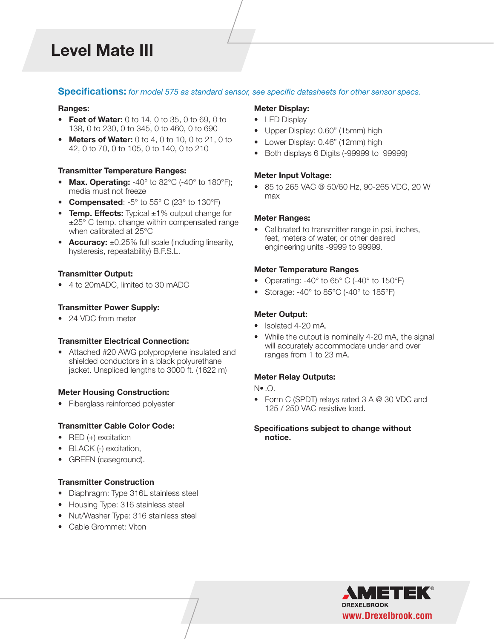# **Level Mate III**

#### **Specifications:** *for model 575 as standard sensor, see specific datasheets for other sensor specs.*

#### **Ranges:**

- **• Feet of Water:** 0 to 14, 0 to 35, 0 to 69, 0 to 138, 0 to 230, 0 to 345, 0 to 460, 0 to 690
- **• Meters of Water:** 0 to 4, 0 to 10, 0 to 21, 0 to 42, 0 to 70, 0 to 105, 0 to 140, 0 to 210

#### **Transmitter Temperature Ranges:**

- **• Max. Operating:** -40° to 82°C (-40° to 180°F); media must not freeze
- **• Compensated**: -5° to 55° C (23° to 130°F)
- **• Temp. Effects:** Typical ±1% output change for ±25° C temp. change within compensated range when calibrated at 25°C
- **• Accuracy:** ±0.25% full scale (including linearity, hysteresis, repeatability) B.F.S.L.

#### **Transmitter Output:**

**•** 4 to 20mADC, limited to 30 mADC

#### **Transmitter Power Supply:**

**•** 24 VDC from meter

#### **Transmitter Electrical Connection:**

**•** Attached #20 AWG polypropylene insulated and shielded conductors in a black polyurethane jacket. Unspliced lengths to 3000 ft. (1622 m)

#### **Meter Housing Construction:**

**•** Fiberglass reinforced polyester

#### **Transmitter Cable Color Code:**

- **•** RED (+) excitation
- **•** BLACK (-) excitation,
- **•** GREEN (caseground).

#### **Transmitter Construction**

- **•** Diaphragm: Type 316L stainless steel
- **•** Housing Type: 316 stainless steel
- **•** Nut/Washer Type: 316 stainless steel
- **•** Cable Grommet: Viton

#### **Meter Display:**

- **•** LED Display
- **•** Upper Display: 0.60" (15mm) high
- **•** Lower Display: 0.46" (12mm) high
- **•** Both displays 6 Digits (-99999 to 99999)

#### **Meter Input Voltage:**

**•** 85 to 265 VAC @ 50/60 Hz, 90-265 VDC, 20 W max

#### **Meter Ranges:**

**•** Calibrated to transmitter range in psi, inches, feet, meters of water, or other desired engineering units -9999 to 99999.

#### **Meter Temperature Ranges**

- **•** Operating: -40° to 65° C (-40° to 150°F)
- **•** Storage: -40° to 85°C (-40° to 185°F)

#### **Meter Output:**

- **•** Isolated 4-20 mA.
- **•** While the output is nominally 4-20 mA, the signal will accurately accommodate under and over ranges from 1 to 23 mA.

#### **Meter Relay Outputs:**

N**•** .O.

**•** Form C (SPDT) relays rated 3 A @ 30 VDC and 125 / 250 VAC resistive load.

#### **Specifications subject to change without notice.**

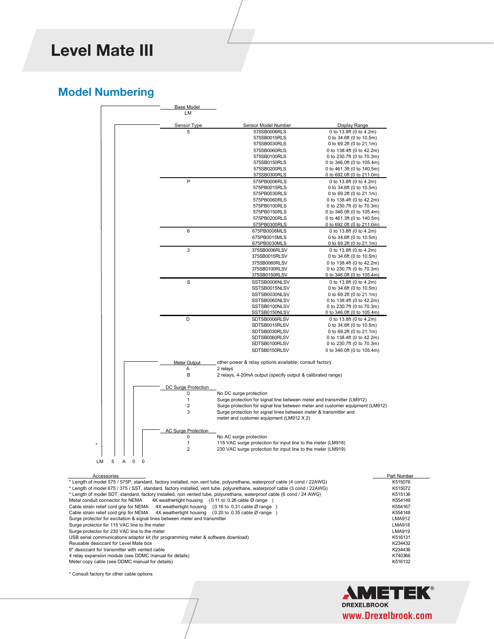#### *Level Mate III* DELRIN SNUB **Level Mate III**

## **Model Numbering**

| Sensor Type                | Sensor Model Number                                                                                                                                                                       | Display Range                                          |
|----------------------------|-------------------------------------------------------------------------------------------------------------------------------------------------------------------------------------------|--------------------------------------------------------|
| 5                          | 575SB0006RLS                                                                                                                                                                              | 0 to 13.8ft (0 to 4.2m)                                |
|                            | 575SB0015RLS<br>575SB0030RLS                                                                                                                                                              | 0 to 34.6ft (0 to 10.5m)                               |
|                            |                                                                                                                                                                                           | 0 to 69.2ft (0 to 21.1m)                               |
|                            | 575SB0060RLS                                                                                                                                                                              | 0 to 138.4ft (0 to 42.2m)<br>0 to 230.7ft (0 to 70.3m) |
|                            | 575SB0100RLS<br>575SB0150RLS                                                                                                                                                              | 0 to 346.0ft (0 to 105.4m)                             |
|                            | 575SB0200RLS                                                                                                                                                                              | 0 to 461.3ft (0 to 140.5m)                             |
|                            | 575SB0300RLS                                                                                                                                                                              | 0 to 692.0ft (0 to 211.0m)                             |
| P                          | 575PB0006RLS                                                                                                                                                                              | 0 to 13.8ft (0 to 4.2m)                                |
|                            | 575PB0015RLS                                                                                                                                                                              | 0 to 34.6ft (0 to 10.5m)                               |
|                            | 575PB0030RLS                                                                                                                                                                              | 0 to 69.2ft (0 to 21.1m)                               |
|                            | 575PB0060RLS                                                                                                                                                                              | 0 to 138.4ft (0 to 42.2m)                              |
|                            | 575PB0100RLS                                                                                                                                                                              | 0 to 230.7ft (0 to 70.3m)                              |
|                            | 575PB0150RLS                                                                                                                                                                              | 0 to 346.0ft (0 to 105.4m)                             |
|                            | 575PB0200RLS<br>575PB0300RLS                                                                                                                                                              | 0 to 461.3ft (0 to 140.5m)                             |
| 6                          | 675PB0006MLS                                                                                                                                                                              | 0 to 692.0ft (0 to 211.0m)<br>0 to 13.8ft (0 to 4.2m)  |
|                            | 675PB0015MLS                                                                                                                                                                              | 0 to 34.6ft (0 to 10.5m)                               |
|                            | 675PB0030MLS                                                                                                                                                                              | 0 to 69.2ft (0 to 21.1m)                               |
| 3                          | 375SB0006RLSV                                                                                                                                                                             | 0 to 13.8ft (0 to 4.2m)                                |
|                            | 375SB0015RLSV                                                                                                                                                                             | 0 to 34.6ft (0 to 10.5m)                               |
|                            | 375SB0060RLSV                                                                                                                                                                             | 0 to 138.4ft (0 to 42.2m)                              |
|                            | 375SB0100RLSV                                                                                                                                                                             | 0 to 230.7ft (0 to 70.3m)                              |
|                            | 375SB0150RLSV                                                                                                                                                                             | 0 to 346.0ft (0 to 105.4m)                             |
| S                          | SSTSB0006NLSV                                                                                                                                                                             | 0 to 13.8ft (0 to 4.2m)                                |
|                            | SSTSB0015NLSV                                                                                                                                                                             | 0 to 34.6ft (0 to 10.5m)                               |
|                            | SSTSB0030NLSV                                                                                                                                                                             | 0 to 69.2ft (0 to 21.1m)<br>0 to 138.4ft (0 to 42.2m)  |
|                            | SSTSB0060NLSV<br>SSTSB0100NLSV                                                                                                                                                            | 0 to 230.7ft (0 to 70.3m)                              |
|                            | SSTSB0150NLSV                                                                                                                                                                             | 0 to 346.0ft (0 to 105.4m)                             |
| D                          | SDTSB0006RLSV                                                                                                                                                                             | 0 to 13.8ft (0 to 4.2m)                                |
|                            | SDTSB0015RLSV                                                                                                                                                                             | 0 to 34.6ft (0 to 10.5m)                               |
|                            | SDTSB0030RLSV                                                                                                                                                                             | 0 to 69.2ft (0 to 21.1m)                               |
|                            | SDTSB0060RLSV                                                                                                                                                                             | 0 to 138.4ft (0 to 42.2m)                              |
|                            | SDTSB0100RLSV                                                                                                                                                                             | 0 to 230.7ft (0 to 70.3m)                              |
|                            | SDTSB0150RLSV                                                                                                                                                                             | 0 to 346.0ft (0 to 105.4m)                             |
| Meter Output               | other power & relay options available, consult factory                                                                                                                                    |                                                        |
| Α                          | 2 relays<br>2 relays, 4-20mA output (specify output & calibrated range)                                                                                                                   |                                                        |
| B                          |                                                                                                                                                                                           |                                                        |
| DC Surge Protection        |                                                                                                                                                                                           |                                                        |
| $\mathbf 0$                | No DC surge protection                                                                                                                                                                    |                                                        |
|                            | $\mathbf{1}$<br>Surge protection for signal line between meter and transmitter (LM912)<br>$\overline{2}$<br>Surge protection for signal line between meter and customer equipment (LM912) |                                                        |
|                            |                                                                                                                                                                                           |                                                        |
| 3                          | Surge protection for signal lines between meter & transmitter and<br>meter and customer equipment (LM912 X 2)                                                                             |                                                        |
| <b>AC Surge Protection</b> |                                                                                                                                                                                           |                                                        |
| 0                          | No AC surge protection                                                                                                                                                                    |                                                        |
| $\mathbf{1}$               | 115 VAC surge protection for input line to the meter (LM918)                                                                                                                              |                                                        |
| $\overline{2}$             | 230 VAC surge protection for input line to the meter (LM919)                                                                                                                              |                                                        |
|                            |                                                                                                                                                                                           |                                                        |

CABLE SUPPORT

Accessories Part Number Part Number (Accessories Part Number Part Number Part Number Part Number Part Number P<br>K515076 K515076 K515076 K515076 K Length of model 675 / 375 / SST, standard, factory installed, vent tube, polyurethane, waterproof cable (3 cond / 22AWG) K515072 \* Length of model SDT, standard, factory installed, non vented tube, polyurethane, waterproof cable (6 cond / 24 AWG) (1999) conduit connector for NEMA 4X weathertight housing (0.11 to 0.26 cable Ø range )<br>strain relief cord grip for NEMA 4X weathertight housing (0.16 to 0.31 cable Ø range ) (554167 K554167 K554167<br>strain relief cord grip for NE Surge protector for excitation & signal lines between meter and transmitter LMA912 Surge protector for 115 VAC line to the meter and transmitter and transmitter LMA918 Surge protector for 230 VAC line to the meter **LMA919** Surge protector of the meter LMA919 USB serial communications adaptor kit (for programming meter & software download) K516131 Reusable desiccant for Level Mate box **Communications adaptor adaptor of programming meter adaptor adaptor of the software download)** K234432 8" desiccant for transmitter with vented cable **Example 234436** And the state box K234436 K234436 4 relay expansion module (see DDMC manual for details) and the state of the state of the state of the K740366 K740366 Meter copy cable (see DDMC manual for details) K516132 Metal conduit connector for NEMA 4X weathertight housing (0.11 to 0.26 cable Ø range )<br>Cable strain relief cord grip for NEMA 4X weathertight housing (0.16 to 0.31 cable Ø range )<br>Cable strain relief cord grip for NEMA

Meter copy cable (see DDMC manual for details) K516132

BENNETT 11/19/10

 $\mathcal{L}$  and  $\mathcal{L}$  and  $\mathcal{L}$  and  $\mathcal{L}$ 

 $\blacksquare$  $\overline{a}$ 

CHECKED 1

\* Consult factory for other cable options \* Consult factory for other cable options

UNLESS OTHERWISE SPECIFIED